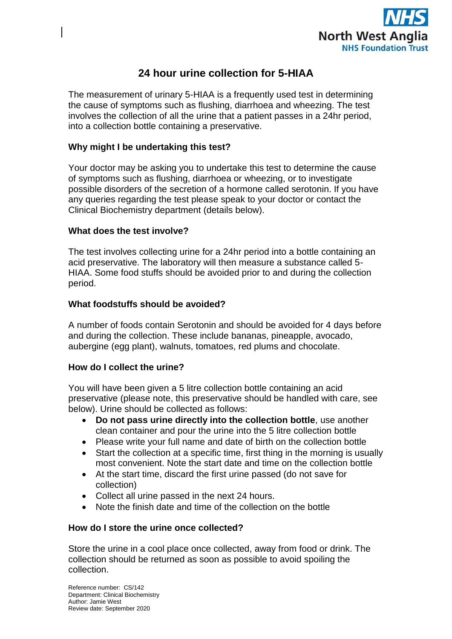

# **24 hour urine collection for 5-HIAA**

The measurement of urinary 5-HIAA is a frequently used test in determining the cause of symptoms such as flushing, diarrhoea and wheezing. The test involves the collection of all the urine that a patient passes in a 24hr period, into a collection bottle containing a preservative.

# **Why might I be undertaking this test?**

Your doctor may be asking you to undertake this test to determine the cause of symptoms such as flushing, diarrhoea or wheezing, or to investigate possible disorders of the secretion of a hormone called serotonin. If you have any queries regarding the test please speak to your doctor or contact the Clinical Biochemistry department (details below).

#### **What does the test involve?**

The test involves collecting urine for a 24hr period into a bottle containing an acid preservative. The laboratory will then measure a substance called 5- HIAA. Some food stuffs should be avoided prior to and during the collection period.

### **What foodstuffs should be avoided?**

A number of foods contain Serotonin and should be avoided for 4 days before and during the collection. These include bananas, pineapple, avocado, aubergine (egg plant), walnuts, tomatoes, red plums and chocolate.

# **How do I collect the urine?**

You will have been given a 5 litre collection bottle containing an acid preservative (please note, this preservative should be handled with care, see below). Urine should be collected as follows:

- **Do not pass urine directly into the collection bottle**, use another clean container and pour the urine into the 5 litre collection bottle
- Please write your full name and date of birth on the collection bottle
- Start the collection at a specific time, first thing in the morning is usually most convenient. Note the start date and time on the collection bottle
- At the start time, discard the first urine passed (do not save for collection)
- Collect all urine passed in the next 24 hours.
- Note the finish date and time of the collection on the bottle

# **How do I store the urine once collected?**

Store the urine in a cool place once collected, away from food or drink. The collection should be returned as soon as possible to avoid spoiling the collection.